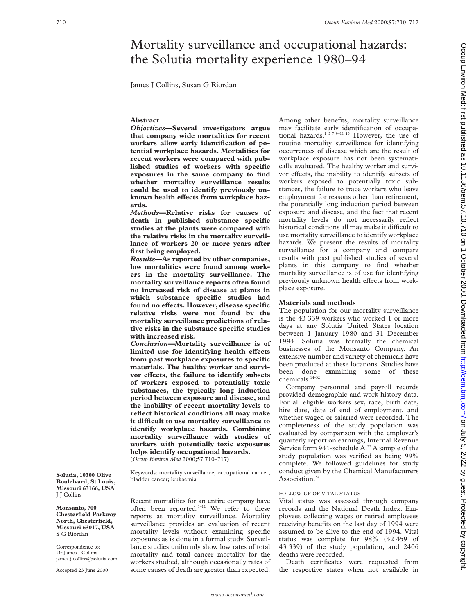# Mortality surveillance and occupational hazards: the Solutia mortality experience 1980–94

James J Collins, Susan G Riordan

## **Abstract**

*Objectives***—Several investigators argue that company wide mortalities for recent workers allow early identification of potential workplace hazards. Mortalities for recent workers were compared with published studies of workers with specific exposures in the same company to find whether mortality surveillance results could be used to identify previously un**known health effects from workplace haz**ards.**

*Methods***—Relative risks for causes of death in published substance specific studies at the plants were compared with the relative risks in the mortality surveillance of workers 20 or more years after first being employed.**

*Results***—As reported by other companies, low mortalities were found among workers in the mortality surveillance. The mortality surveillance reports often found no increased risk of disease at plants in which substance specific studies had** found no effects. However, disease specific **relative risks were not found by the mortality surveillance predictions of relative risks in the substance specific studies with increased risk.**

*Conclusion***—Mortality surveillance is of** limited use for identifying health effects **from past workplace exposures to specific materials. The healthy worker and survi**vor effects, the failure to identify subsets **of workers exposed to potentially toxic substances, the typically long induction period between exposure and disease, and the inability of recent mortality levels to reflect historical conditions all may make it diYcult to use mortality surveillance to identify workplace hazards. Combining mortality surveillance with studies of workers with potentially toxic exposures helps identify occupational hazards.** (*Occup Environ Med* 2000;**57**:710–717)

Keywords: mortality surveillance; occupational cancer; bladder cancer; leukaemia

Recent mortalities for an entire company have often been reported.<sup>1-12</sup> We refer to these reports as mortality surveillance. Mortality surveillance provides an evaluation of recent mortality levels without examining specific exposures as is done in a formal study. Surveillance studies uniformly show low rates of total mortality and total cancer mortality for the workers studied, although occasionally rates of some causes of death are greater than expected. Among other benefits, mortality surveillance may facilitate early identification of occupational hazards.<sup>1 5 7 9–11 13</sup> However, the use of routine mortality surveillance for identifying occurrences of disease which are the result of workplace exposure has not been systematically evaluated. The healthy worker and survivor effects, the inability to identify subsets of workers exposed to potentially toxic substances, the failure to trace workers who leave employment for reasons other than retirement, the potentially long induction period between exposure and disease, and the fact that recent mortality levels do not necessarily reflect historical conditions all may make it difficult to use mortality surveillance to identify workplace hazards. We present the results of mortality surveillance for a company and compare results with past published studies of several plants in this company to find whether mortality surveillance is of use for identifying previously unknown health effects from workplace exposure.

# **Materials and methods**

The population for our mortality surveillance is the 43 339 workers who worked 1 or more days at any Solutia United States location between 1 January 1980 and 31 December 1994. Solutia was formally the chemical businesses of the Monsanto Company. An extensive number and variety of chemicals have been produced at these locations. Studies have been done examining some of these chemicals.<sup>14–32</sup>

Company personnel and payroll records provided demographic and work history data. For all eligible workers sex, race, birth date, hire date, date of end of employment, and whether waged or salaried were recorded. The completeness of the study population was evaluated by comparison with the employer's quarterly report on earnings, Internal Revenue Service form 941-schedule A.<sup>33</sup> A sample of the study population was verified as being 99% complete. We followed guidelines for study conduct given by the Chemical Manufacturers Association.<sup>34</sup>

# FOLLOW UP OF VITAL STATUS

Vital status was assessed through company records and the National Death Index. Employees collecting wages or retired employees receiving benefits on the last day of 1994 were assumed to be alive to the end of 1994. Vital status was complete for 98% (42 459 of 43 339) of the study population, and 2406 deaths were recorded.

Death certificates were requested from the respective states when not available in

**Solutia, 10300 Olive Boulelvard, St Louis, Missouri 63166, USA** J J Collins

**Monsanto, 700 Chesterfield Parkway North, Chesterfield, Missouri 63017, USA** S G Riordan

Correspondence to: Dr James J Collins james.j.collins@solutia.com

Accepted 23 June 2000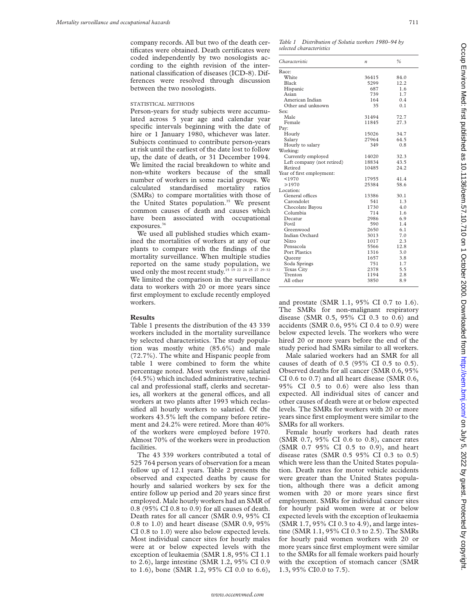company records. All but two of the death certificates were obtained. Death certificates were coded independently by two nosologists according to the eighth revision of the international classification of diseases (ICD-8). Differences were resolved through discussion between the two nosologists.

#### STATISTICAL METHODS

Person-years for study subjects were accumulated across 5 year age and calendar year specific intervals beginning with the date of hire or 1 January 1980, whichever was later. Subjects continued to contribute person-years at risk until the earliest of the date lost to follow up, the date of death, or 31 December 1994. We limited the racial breakdown to white and non-white workers because of the small number of workers in some racial groups. We calculated standardised mortality ratios (SMRs) to compare mortalities with those of the United States population.<sup>35</sup> We present common causes of death and causes which have been associated with occupational exposures.<sup>36</sup>

We used all published studies which examined the mortalities of workers at any of our plants to compare with the findings of the mortality surveillance. When multiple studies reported on the same study population, we used only the most recent study.<sup>15</sup>  $\frac{1}{19}$   $\frac{22}{24}$   $\frac{24}{25}$   $\frac{25}{27}$ We limited the comparison in the surveillance data to workers with 20 or more years since first employment to exclude recently employed workers.

## **Results**

Table 1 presents the distribution of the 43 339 workers included in the mortality surveillance by selected characteristics. The study population was mostly white (85.6%) and male (72.7%). The white and Hispanic people from table 1 were combined to form the white percentage noted. Most workers were salaried (64.5%) which included administrative, technical and professional staff, clerks and secretaries, all workers at the general offices, and all workers at two plants after 1993 which reclassified all hourly workers to salaried. Of the workers 43.5% left the company before retirement and 24.2% were retired. More than 40% of the workers were employed before 1970. Almost 70% of the workers were in production facilities.

The 43 339 workers contributed a total of 525 764 person years of observation for a mean follow up of 12.1 years. Table 2 presents the observed and expected deaths by cause for hourly and salaried workers by sex for the entire follow up period and 20 years since first employed. Male hourly workers had an SMR of 0.8 (95% CI 0.8 to 0.9) for all causes of death. Death rates for all cancer (SMR 0.9, 95% CI 0.8 to 1.0) and heart disease (SMR 0.9, 95% CI 0.8 to 1.0) were also below expected levels. Most individual cancer sites for hourly males were at or below expected levels with the exception of leukaemia (SMR 1.8, 95% CI 1.1 to 2.6), large intestine (SMR 1.2, 95% CI 0.9 to 1.6), bone (SMR 1.2, 95% CI 0.0 to 6.6),

*Table 1 Distribution of Solutia workers 1980–94 by selected characteristics*

| Characteristic             | $\boldsymbol{n}$ | $\frac{0}{0}$ |
|----------------------------|------------------|---------------|
| Race:                      |                  |               |
| White                      | 36415            | 84.0          |
| Black                      | 5299             | 12.2          |
| Hispanic                   | 687              | 1.6           |
| Asian                      | 739              | 1.7           |
| American Indian            | 164              | 0.4           |
| Other and unknown          | 35               | 0.1           |
| Sex:                       |                  |               |
| Male                       | 31494            | 72.7          |
| Female                     | 11845            | 27.3          |
| Pay:                       |                  |               |
| Hourly                     | 15026            | 34.7          |
| Salary                     | 27964            | 64.5          |
| Hourly to salary           | 349              | 0.8           |
| Working:                   |                  |               |
| Currently employed         | 14020            | 32.3          |
| Left company (not retired) | 18834            | 43.5          |
| Retired                    | 10485            | 24.2          |
| Year of first employment:  |                  |               |
| < 1970                     | 17955            | 41.4          |
| $\geq 1970$                | 25384            | 58.6          |
| Location:                  |                  |               |
| General offices            | 13386            | 30.1          |
| Carondolet                 | 541              | 1.3           |
| Chocolate Bayou            | 1730             | 4.0           |
| Columbia                   | 714              | 1.6           |
| Decatur                    | 2986             | 6.9           |
| Fovil                      | 590              | 1.4           |
| Greenwood                  | 2650             | 6.1           |
| Indian Orchard             | 3013             | 7.0           |
| Nitro                      | 1017             | 2.3           |
| Pensacola                  | 5566             | 12.8          |
| Port Plastics              | 1316             | 3.0           |
| Oueeny                     | 1657             | 3.8           |
| Soda Springs               | 751              | 1.7           |
| <b>Texas City</b>          | 2378             | 5.5           |
| Trenton                    | 1194             | 2.8           |
| All other                  | 3850             | 8.9           |

and prostate (SMR 1.1, 95% CI 0.7 to 1.6). The SMRs for non-malignant respiratory disease (SMR 0.5, 95% CI 0.3 to 0.6) and accidents (SMR 0.6, 95% CI 0.4 to 0.9) were below expected levels. The workers who were hired 20 or more years before the end of the study period had SMRs similar to all workers.

Male salaried workers had an SMR for all causes of death of 0.5 (95% CI 0.5 to 0.5). Observed deaths for all cancer (SMR 0.6, 95% CI 0.6 to 0.7) and all heart disease (SMR 0.6, 95% CI 0.5 to 0.6) were also less than expected. All individual sites of cancer and other causes of death were at or below expected levels. The SMRs for workers with 20 or more years since first employment were similar to the SMRs for all workers.

Female hourly workers had death rates (SMR 0.7, 95% CI 0.6 to 0.8), cancer rates (SMR 0.7 95% CI 0.5 to 0.9), and heart disease rates (SMR 0.5 95% CI 0.3 to 0.5) which were less than the United States population. Death rates for motor vehicle accidents were greater than the United States population, although there was a deficit among women with 20 or more years since first employment. SMRs for individual cancer sites for hourly paid women were at or below expected levels with the exception of leukaemia (SMR 1.7, 95% CI 0.3 to 4.9), and large intestine (SMR 1.1, 95% CI 0.3 to 2.5). The SMRs for hourly paid women workers with 20 or more years since first employment were similar to the SMRs for all female workers paid hourly with the exception of stomach cancer (SMR 1.3, 95% CI0.0 to 7.5).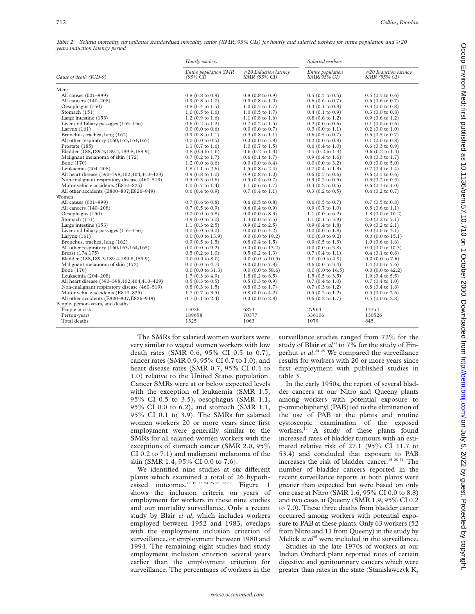| Table 2 Solutia mortality surveillance standardised mortality ratios (SMR, 95% CIs) for hourly and salaried workers for entire population and $\geq$ 20 |  |  |  |
|---------------------------------------------------------------------------------------------------------------------------------------------------------|--|--|--|
| years induction latency period                                                                                                                          |  |  |  |

|                                             | Hourly workers                               |                                             | Salaried workers                         |                                             |
|---------------------------------------------|----------------------------------------------|---------------------------------------------|------------------------------------------|---------------------------------------------|
| Cause of death (ICD-9)                      | Entire population SMR<br>$(95\% \text{ CI})$ | $\geq$ 20 Induction latency<br>SMR (95% CI) | Entire population<br><i>SMR</i> (95% CI) | $\geq$ 20 Induction latency<br>SMR (95% CI) |
| Men:                                        |                                              |                                             |                                          |                                             |
| All causes (001-999)                        | $0.8(0.8 \text{ to } 0.9)$                   | $0.8(0.8 \text{ to } 0.9)$                  | $0.5(0.5 \text{ to } 0.5)$               | $0.5(0.5 \text{ to } 0.6)$                  |
| All cancers (140-208)                       | $0.9$ (0.8 to 1.0)                           | $0.9$ (0.8 to 1.0)                          | $0.6$ (0.6 to 0.7)                       | $0.6$ (0.6 to 0.7)                          |
| Oesophagus (150)                            | $0.8$ $(0.4$ to $1.5)$                       | $1.0$ (0.5 to 1.7)                          | $0.3(0.1 \text{ to } 0.8)$               | $0.3$ (0.0 to 0.8)                          |
| Stomach (151)                               | $1.0$ (0.5 to 1.6)                           | $1.0$ (0.5 to 1.7)                          | $0.4$ (0.1 to 0.9)                       | $0.3$ (0.0 to 0.8)                          |
| Large intestine (153)                       | $1.2$ (0.9 to 1.6)                           | 1.1 $(0.8 \text{ to } 1.6)$                 | $0.8$ (0.6 to 1.2)                       | $0.9$ (0.6 to 1.2)                          |
| Liver and biliary passages (155-156)        | $0.6$ (0.2 to 1.2)                           | $0.7$ (0.2 to 1.5)                          | $0.2$ (0.0 to 0.6)                       | $0.1$ (0.0 to 0.6)                          |
| Larynx $(161)$                              | $0.0$ (0.0 to 0.6)                           | $0.0$ (0.0 to 0.7)                          | $0.3$ (0.0 to 1.1)                       | $0.2$ (0.0 to 1.0)                          |
| Bronchus, trachea, lung (162)               | $0.9$ $(0.8 \text{ to } 1.1)$                | $0.9(0.8 \text{ to } 1.1)$                  | $0.6(0.5 \text{ to } 0.7)$               | $0.6$ (0.5 to 0.7)                          |
| All other respiratory (160,163,164,165)     | $0.0$ (0.0 to 0.5)                           | $0.0$ (0.0 to 5.8)                          | $0.2$ (0.0 to 0.8)                       | $0.1$ (0.0 to 0.8)                          |
| Prostate (185)                              | 1.1 $(0.7 \text{ to } 1.6)$                  | $1.0$ (0.7 to 1.5)                          | $0.6(0.4 \text{ to } 1.0)$               | $0.6$ $(0.3$ to $0.9)$                      |
| Bladder (188,189.3,189.4,189.8,189.9)       | $0.8$ (0.3 to 1.6)                           | $0.6$ (0.2 to 1.4)                          | $0.5$ $(0.2$ to $1.3)$                   | $0.6$ $(0.2$ to $1.4)$                      |
| Malignant melanoma of skin (172)            | $0.7$ (0.2 to 1.7)                           | $0.6$ (0.1 to 1.7)                          | $0.9$ (0.4 to 1.6)                       | $0.8$ (0.3 to 1.7)                          |
| Bone (170)                                  | $1.2$ (0.0 to 6.6)                           | $0.0$ (0.0 to 6.4)                          | $0.0$ (0.0 to 3.2)                       | $0.0$ (0.0 to 5.0)                          |
| Leukaemia (204-208)                         | $1.8(1.1 \text{ to } 2.6)$                   | $1.5(0.8 \text{ to } 2.4)$                  | $0.7$ (0.4 to 1.3)                       | $0.7(0.4 \text{ to } 1.4)$                  |
| All heart disease (390-398,402,404,410-429) | $0.9$ (0.8 to 1.0)                           | $0.9(0.8 \text{ to } 1.0)$                  | $0.6$ (0.5 to 0.6)                       | $0.6(0.5 \text{ to } 0.6)$                  |
| Non-malignant respiratory disease (460-519) | $0.5(0.3 \text{ to } 0.6)$                   | $0.5(0.4 \text{ to } 0.7)$                  | $0.3$ (0.2 to 0.5)                       | $0.3$ (0.2 to 0.5)                          |
| Motor vehicle accidents (E810-825)          | $1.0$ (0.7 to 1.4)                           | 1.1 $(0.6 \text{ to } 1.7)$                 | $0.3$ $(0.2 \text{ to } 0.5)$            | $0.6$ (0.3 to 1.0)                          |
| All other accidents (E800-807,E826-949)     | $0.6$ $(0.4$ to $0.9)$                       | $0.7(0.4 \text{ to } 1.1)$                  | $0.3$ $(0.2 \text{ to } 0.5)$            | $0.4$ (0.2 to 0.7)                          |
| Women:                                      |                                              |                                             |                                          |                                             |
| All causes (001-999)                        | $0.7(0.6 \text{ to } 0.8)$                   | $0.6$ (0.5 to 0.8)                          | $0.6$ (0.5 to 0.7)                       | $0.7$ (0.5 to 0.8)                          |
| All cancers (140-208)                       | $0.7$ (0.5 to 0.9)                           | $0.6$ (0.4 to 0.9)                          | $0.9$ (0.7 to 1.0)                       | $0.8$ $(0.6 \text{ to } 1.1)$               |
| Oesophagus (150)                            | $0.0$ (0.0 to 5.8)                           | $0.0$ (0.0 to 8.3)                          | 1.1 $(0.0 \text{ to } 6.2)$              | $1.8(0.0 \text{ to } 10.2)$                 |
| Stomach (151)                               | $0.9$ (0.0 to 5.0)                           | 1.3 (0.0 to $7.5$ )                         | $1.1$ (0.1 to 3.9)                       | $2.0$ (0.2 to $7.1$ )                       |
| Large intestine (153)                       | 1.1 $(0.3 \text{ to } 2.5)$                  | $0.9$ $(0.2$ to $2.5)$                      | $0.9$ (0.4 to 1.8)                       | $0.9$ $(0.2$ to $2.1)$                      |
| Liver and biliary passages (155-156)        | $0.0$ (0.0 to 3.0)                           | $0.0$ (0.0 to 4.2)                          | $0.0$ (0.0 to 1.8)                       | $0.0$ (0.0 to 3.1)                          |
| Larvnx $(161)$                              | $0.0$ (0.0 to 13.9)                          | $0.0$ (0.0 to 19.2)                         | $0.0$ (0.0 to 9.2)                       | $0.0$ (0.0 to 15.1)                         |
| Bronchus, trachea, lung (162)               | $0.9$ (0.5 to 1.5)                           | $0.8$ $(0.4 \text{ to } 1.5)$               | $0.9$ $(0.5$ to 1.3)                     | $1.0$ (0.6 to 1.6)                          |
| All other respiratory (160,163,164,165)     | $0.0$ (0.0 to 9.2)                           | $0.0$ (0.0 to 13.2)                         | $0.0$ (0.0 to 5.8)                       | $0.0$ (0.0 to 10.3)                         |
| Breast (174,175)                            | $0.5$ $(0.2$ to $1.0)$                       | $0.5$ $(0.2$ to $1.3)$                      | $0.7(0.4 \text{ to } 1.1)$               | $0.4$ (0.1 to 0.8)                          |
| Bladder (188,189.3,189.4,189.8,189.9)       | $0.0$ (0.0 to 8.0)                           | $0.0$ (0.0 to 10.5)                         | $0.0$ (0.0 to 4.9)                       | $0.0$ (0.0 to 7.6)                          |
| Malignant melanoma of skin (172)            | $0.0$ (0.0 to 4.7)                           | $0.0$ (0.0 to 7.8)                          | $0.6$ (0.0 to 3.4)                       | 1.4 $(0.0 \text{ to } 7.6)$                 |
| Bone (170)                                  | $0.0$ (0.0 to 31.3)                          | $0.0$ (0.0 to 58.6)                         | $0.0$ (0.0 to 16.5)                      | $0.0$ (0.0 to 42.2)                         |
| Leukaemia (204-208)                         | $1.7(0.3 \text{ to } 4.9)$                   | $1.8(0.2 \text{ to } 6.5)$                  | $1.5(0.5 \text{ to } 3.5)$               | $1.9(0.4 \text{ to } 5.5)$                  |
| All heart disease (390-398,402,404,410-429) | $0.5(0.3 \text{ to } 0.5)$                   | $0.5(0.3 \text{ to } 0.9)$                  | $0.7$ (0.4 to 1.0)                       | $0.7(0.4 \text{ to } 1.0)$                  |
| Non-malignant respiratory disease (460-519) | $0.8$ (0.3 to 1.5)                           | $0.8$ (0.3 to 1.7)                          | $0.7$ (0.3 to 1.2)                       | $0.8$ (0.4 to 1.6)                          |
| Motor vehicle accidents (E810-825)          | $1.7(0.7 \text{ to } 3.5)$                   | $0.8(0.0 \text{ to } 4.2)$                  | $0.5$ $(0.2$ to $1.2)$                   | $0.5(0.0 \text{ to } 2.6)$                  |
| All other accidents (E800-807,E826-949)     | $0.7$ (0.1 to 2.4)                           | $0.0$ (0.0 to 2.8)                          | $0.6$ (0.2 to 1.7)                       | $0.5(0.0 \text{ to } 2.8)$                  |
| People, person-years, and deaths:           |                                              |                                             |                                          |                                             |
| People at risk                              | 15026                                        | 6853                                        | 27964                                    | 13354                                       |
| Person-years                                | 189658                                       | 70377                                       | 336106                                   | 130526                                      |
| Total deaths                                | 1325                                         | 1063                                        | 1079                                     | 845                                         |

The SMRs for salaried women workers were very similar to waged women workers with low death rates (SMR 0.6, 95% CI 0.5 to 0.7), cancer rates (SMR 0.9, 95% CI 0.7 to 1.0), and heart disease rates (SMR 0.7, 95% CI 0.4 to 1.0) relative to the United States population. Cancer SMRs were at or below expected levels with the exception of leukaemia (SMR 1.5, 95% CI 0.5 to 3.5), oesophagus (SMR 1.1, 95% CI 0.0 to 6.2), and stomach (SMR 1.1, 95% CI 0.1 to 3.9). The SMRs for salaried women workers 20 or more years since first employment were generally similar to the SMRs for all salaried women workers with the exceptions of stomach cancer (SMR 2.0, 95% CI 0.2 to 7.1) and malignant melanoma of the skin (SMR 1.4, 95% CI 0.0 to 7.6).

We identified nine studies at six different plants which examined a total of 26 hypothesised outcomes.<sup>15 19 22 24 25 27 29–32</sup> Figure 1 shows the inclusion criteria on years of employment for workers in these nine studies and our mortality surveillance. Only a recent study by Blair *et al*, which includes workers employed between 1952 and 1983, overlaps with the employment inclusion criterion of surveillance, or employment between 1980 and 1994. The remaining eight studies had study employment inclusion criterion several years earlier than the employment criterion for surveillance. The percentages of workers in the

surveillance studies ranged from 72% for the study of Blair *et al*<sup>30</sup> to 7% for the study of Fingerhut *et al*. 24 25 We compared the surveillance results for workers with 20 or more years since first employment with published studies in table 3.

In the early 1950s, the report of several bladder cancers at our Nitro and Queeny plants among workers with potential exposure to p-aminobiphenyl (PAB) led to the elimination of the use of PAB at the plants and routine cystoscopic examination of the exposed workers.<sup>14</sup> A study of these plants found increased rates of bladder tumours with an estimated relative risk of 27.1 (95% CI 11.7 to 53.4) and concluded that exposure to PAB increases the risk of bladder cancer.15 28 31 The number of bladder cancers reported in the recent surveillance reports at both plants were greater than expected but were based on only one case at Nitro (SMR 1.6, 95% CI 0.0 to 8.8) and two cases at Queeny (SMR 1.9, 95% CI 0.2 to 7.0). These three deaths from bladder cancer occurred among workers with potential exposure to PAB at these plants. Only 63 workers (52 from Nitro and 11 from Queeny) in the study by Melick *et al*<sup>15</sup> were included in the surveillance.

Studies in the late 1970s of workers at our Indian Orchard plant reported rates of certain digestive and genitourinary cancers which were greater than rates in the state (Stanislawczyk K,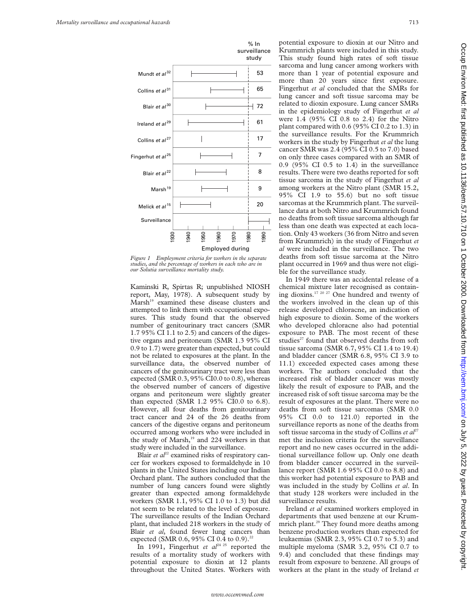

*Figure 1 Employment criteria for workers in the separate studies, and the percentage of workers in each who are in our Solutia surveillance mortality study.*

Kaminski R, Spirtas R; unpublished NIOSH report, May, 1978). A subsequent study by Marsh<sup>19</sup> examined these disease clusters and attempted to link them with occupational exposures. This study found that the observed number of genitourinary tract cancers (SMR 1.7 95% CI 1.1 to 2.5) and cancers of the digestive organs and peritoneum (SMR 1.3 95% CI 0.9 to 1.7) were greater than expected, but could not be related to exposures at the plant. In the surveillance data, the observed number of cancers of the genitourinary tract were less than expected (SMR 0.3, 95% CI0.0 to 0.8), whereas the observed number of cancers of digestive organs and peritoneum were slightly greater than expected (SMR 1.2 95% CI0.0 to 6.8). However, all four deaths from genitourinary tract cancer and 24 of the 26 deaths from cancers of the digestive organs and peritoneum occurred among workers who were included in the study of Marsh,<sup>19</sup> and 224 workers in that study were included in the surveillance.

Blair *et al*<sup>22</sup> examined risks of respiratory cancer for workers exposed to formaldehyde in 10 plants in the United States including our Indian Orchard plant. The authors concluded that the number of lung cancers found were slightly greater than expected among formaldehyde workers (SMR 1.1, 95% CI 1.0 to 1.3) but did not seem to be related to the level of exposure. The surveillance results of the Indian Orchard plant, that included 218 workers in the study of Blair *et al*, found fewer lung cancers than expected (SMR 0.6, 95% CI 0.4 to 0.9).<sup>22</sup>

In 1991, Fingerhut *et al*<sup>24 25</sup> reported the results of a mortality study of workers with potential exposure to dioxin at 12 plants throughout the United States. Workers with

potential exposure to dioxin at our Nitro and Krummrich plants were included in this study. This study found high rates of soft tissue sarcoma and lung cancer among workers with more than 1 year of potential exposure and more than 20 years since first exposure. Fingerhut *et al* concluded that the SMRs for lung cancer and soft tissue sarcoma may be related to dioxin exposure. Lung cancer SMRs in the epidemiology study of Fingerhut *et al* were 1.4 (95% CI 0.8 to 2.4) for the Nitro plant compared with 0.6 (95% CI 0.2 to 1.3) in the surveillance results. For the Krummrich workers in the study by Fingerhut *et al* the lung cancer SMR was 2.4 (95% CI 0.5 to 7.0) based on only three cases compared with an SMR of 0.9 (95% CI 0.5 to 1.4) in the surveillance results. There were two deaths reported for soft tissue sarcoma in the study of Fingerhut *et al* among workers at the Nitro plant (SMR 15.2, 95% CI 1.9 to 55.6) but no soft tissue sarcomas at the Krummrich plant. The surveillance data at both Nitro and Krummrich found no deaths from soft tissue sarcoma although far less than one death was expected at each location. Only 43 workers (36 from Nitro and seven from Krummrich) in the study of Fingerhut *et al* were included in the surveillance. The two deaths from soft tissue sarcoma at the Nitro plant occurred in 1969 and thus were not eligible for the surveillance study.

In 1949 there was an accidental release of a chemical mixture later recognised as containing dioxins.17 20 27 One hundred and twenty of the workers involved in the clean up of this release developed chloracne, an indication of high exposure to dioxin. Some of the workers who developed chloracne also had potential exposure to PAB. The most recent of these studies<sup>27</sup> found that observed deaths from soft tissue sarcoma (SMR 6.7, 95% CI 1.4 to 19.4) and bladder cancer (SMR 6.8, 95% CI 3.9 to 11.1) exceeded expected cases among these workers. The authors concluded that the increased risk of bladder cancer was mostly likely the result of exposure to PAB, and the increased risk of soft tissue sarcoma may be the result of exposures at the plant. There were no deaths from soft tissue sarcomas (SMR 0.0 95% CI 0.0 to 121.0) reported in the surveillance reports as none of the deaths from soft tissue sarcoma in the study of Collins *et al*<sup>27</sup> met the inclusion criteria for the surveillance report and no new cases occurred in the additional surveillance follow up. Only one death from bladder cancer occurred in the surveillance report (SMR 1.6 95% CI 0.0 to 8.8) and this worker had potential exposure to PAB and was included in the study by Collins *et al*. In that study 128 workers were included in the surveillance results.

Ireland *et al* examined workers employed in departments that used benzene at our Krummrich plant.<sup>29</sup> They found more deaths among benzene production workers than expected for leukaemias (SMR 2.3, 95% CI 0.7 to 5.3) and multiple myeloma (SMR 3.2, 95% CI 0.7 to 9.4) and concluded that these findings may result from exposure to benzene. All groups of workers at the plant in the study of Ireland *et*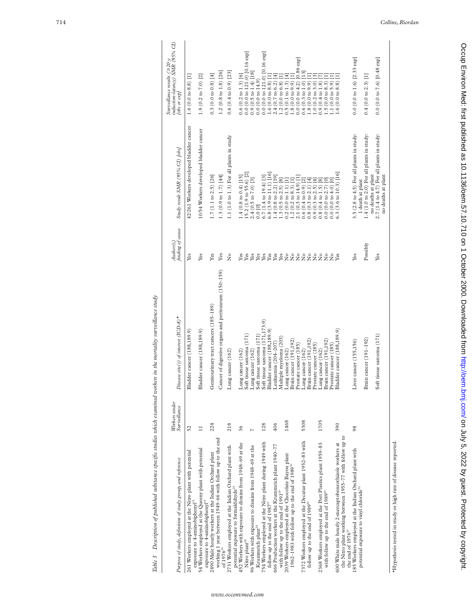|                                                                                                                                                | Workers under  |                                                                                                                           | Author(s)                                 |                                                                                                                                                                                 | induction-latency) SMR (95% CI)<br>Surveillance results ( $\geq$ 20 y                                                                                               |
|------------------------------------------------------------------------------------------------------------------------------------------------|----------------|---------------------------------------------------------------------------------------------------------------------------|-------------------------------------------|---------------------------------------------------------------------------------------------------------------------------------------------------------------------------------|---------------------------------------------------------------------------------------------------------------------------------------------------------------------|
| Purpose of study, definition of study group, and reference                                                                                     | Surveillance   | Disease site(s) of interest $(TCD-8)^*$                                                                                   | finding of cause                          | Study result SMR (95% CI) [obs]                                                                                                                                                 | lobs or exp]                                                                                                                                                        |
| 261 Workers employed at the Nitro plant with potential<br>exposure to 4-aminobiphenyl <sup>15</sup>                                            | 52             | Bladder cancer (188,189.9)                                                                                                | Yes                                       | 42/261 Workers developed bladder cancer                                                                                                                                         | $1.6(0.0 to 8.8)$ [1]                                                                                                                                               |
| 54 Workers employed at the Queeny plant with potential<br>exposure to 4-aminobiphenyl <sup>15</sup>                                            | $\Box$         | Bladder cancer (188,189.9)                                                                                                | Yes                                       | 10/54 Workers developed bladder cancer                                                                                                                                          | $1.9(0.2 \text{ to } 7.0)$ [2]                                                                                                                                      |
| 2490 Male hourly workers at the Indian Orchard plant                                                                                           | 224            | Genitourinary tract cancers (185-189)                                                                                     | Yes                                       | $1.7(1.1 \text{ to } 2.5)$ [26]                                                                                                                                                 | $0.3(0.0 \text{ to } 0.8)$ [4]                                                                                                                                      |
| working 1 year between 1949-66 with follow up to the end<br>of 1976 <sup>19</sup>                                                              |                | Cancer of digestive organs and peritoneum (150-159)                                                                       | Yes                                       | 1.3 $(0.9 \text{ to } 1.7)$ [44]                                                                                                                                                | $1.2(0.8 \text{ to } 1.8)$ [26]                                                                                                                                     |
| 2731 Workers employed at the Indian Orchard plant with<br>potential exposure to formaldehyde <sup>22</sup>                                     | 218            | Lung cancer (162)                                                                                                         | $\tilde{z}$                               | 1.1 (1.0 to 1.3) For all plants in study                                                                                                                                        | $0.6(0.4 \text{ to } 0.9)$ [23]                                                                                                                                     |
| 452 Workers with exposure to dioxins from 1948-69 at the<br>Nitro plant <sup>24</sup>                                                          | 36             | Lung cancer $(162)$<br>Soft tissue sarcoma $(171)$                                                                        | Yes<br>Yes                                | 15.2 (1.9 to 55.6) [2]<br>$1.4(0.8 \text{ to } 0.4)$ [15]                                                                                                                       | $0.0$ (0.0 to 121.0) [0.16 exp]<br>$0.6(0.2 \text{ to } 1.3)$ [6]                                                                                                   |
| 96 Workers with exposure to dioxins from 1948-69 at the                                                                                        | $\overline{a}$ |                                                                                                                           | Yes                                       | $2.4(0.5 \text{ to } 7.0)$ [3]                                                                                                                                                  | $0.9(0.5 \text{ to } 1.4)$ [18]                                                                                                                                     |
| Krummrich plant <sup>24</sup>                                                                                                                  |                |                                                                                                                           | Yes                                       | 0.0 [0]                                                                                                                                                                         | $0.0(0.0 \text{ to } 14.9)$                                                                                                                                         |
| 754 Workers employed at the Nitro plant during 1949 with                                                                                       | 128            | Lung cancer $(162)$<br>Soft tissue sarcoma $(171)$<br>Soft tissue sarcoma $(171, 173.9)$<br>Bladder cancer $(188, 189.9)$ | Yes                                       | $6.7(1.4 \text{ to } 19.4)$ [3]                                                                                                                                                 | $0.0$ (0.0 to 121.0) [0.16 exp]                                                                                                                                     |
| follow up to the end of $1987^{27}$                                                                                                            |                |                                                                                                                           | Yes<br>Yes                                | $6.8(3.9 \text{ to } 11.1)$ [16]                                                                                                                                                | $\begin{array}{c} 1.6 \ (0.0 \ \text{to} \ 8.8) \ [1] \\ 2.4 \ (0.7 \ \text{to} \ 6.2) \ [4] \end{array}$                                                           |
| 666 Production workers at the Krummrich plant 1940-77<br>with follow up to the end of 1991 <sup>29</sup>                                       | 406            | Leukaemia (204–207)<br>Multiple myeloma (203)                                                                             | Yes                                       | 1.4 (0.8 to 2.2) [19]<br>1.3 (0.5 to 2.5) [8]<br>0.2 (0.0 to 1.1) [1]                                                                                                           |                                                                                                                                                                     |
| 2039 Workers employed at the Chocolate Bayou plant                                                                                             | 1468           |                                                                                                                           |                                           |                                                                                                                                                                                 | $1.2(0.0 \text{ to } 6.8)$ [<br>0.5 (0.1 to 1.3) [                                                                                                                  |
| 1962-1983 with follow up to the end of 1989 <sup>30</sup>                                                                                      |                | Lung cancer $(162)$<br>Brain cancer $(191, 192)$                                                                          |                                           | $1.2(0.2 \text{ to } 8.3)$ [1]                                                                                                                                                  | 1.8(0.0 t0 9.9)                                                                                                                                                     |
|                                                                                                                                                |                | Prostate cancer (185)                                                                                                     |                                           |                                                                                                                                                                                 |                                                                                                                                                                     |
| 7372 Workers employed at the Decatur plant 1952-83 with<br>follow up to the end of 1989 <sup>30</sup>                                          | 5308           | $\begin{array}{l} \text{Lung cancer (162)}\\ \text{Brain cancer (191,192)}\\ \text{Prostate cancer (185)} \end{array}$    | 222222                                    | $\begin{array}{c} 2.1 \ (0.3 \ \text{to} \ 14.9) \ [1] \\ 0.6 \ (0.4 \ \text{to} \ 0.9) \ [2] \\ 0.8 \ (0.3 \ \text{to} \ 2.1) \ [4] \end{array}$<br>$0.9(0.3 \text{ to } 2.5)$ | $\begin{array}{c} 0.0~(0.0~\text{to}~4.2)~[0.86~\text{exp}]\\ 0.6~(0.3~\text{to}~1.0)~[13]\\ 1.8~(0.0~\text{to}~9.9)~[1]\\ 1.0~(0.2~\text{to}~3.0)~[3] \end{array}$ |
|                                                                                                                                                |                |                                                                                                                           |                                           | ⋥                                                                                                                                                                               |                                                                                                                                                                     |
| 2368 Workers employed at the Port Plastics plant 1959-83<br>with follow up to the end of 1989 <sup>30</sup>                                    | 1705           | Brain cancer (191,192)<br>Prostate cancer (185)<br>Bladder cancer (188,18<br>Lung cancer (162)                            | $\tilde{z}$<br>$\tilde{z}$<br>$\tilde{z}$ | ®.<br>$0.0$ (0.0 to 2.7) [0]<br>0.0(0.0004.0)<br>$0.8(0.4 \text{ to } 1.5)$                                                                                                     | $(0.0 \text{ to } 8.3)$ [1]<br>1.1(0.0 to 5.9)<br>$0.9(0.4 \text{ to } 1.8)$<br>1.5                                                                                 |
| the Nitro plant working between 1955-77 with follow up to<br>600 White male hourly 2-mercaptobenzothizole workers at<br>the end of $1976^{31}$ | 390            | ladder cancer (188,189.9)                                                                                                 |                                           | $(3.6 \text{ to } 10.3)$ [16]<br>6.3                                                                                                                                            | $(0.0 \text{ to } 8.8)$<br>1.6                                                                                                                                      |
| 185 Workers employed at the Indian Orchard plant with<br>potential exposure to vinyl chloride <sup>32</sup>                                    | 98             | Liver cancer (155,156)                                                                                                    | Yes                                       | $3.5$ (2.8 to 4.5) For all plants in study:<br>1 death at plant                                                                                                                 | $0.0$ (0.0 to 1.6) [2.33 exp]                                                                                                                                       |
|                                                                                                                                                |                | Brain cancer (191-192)                                                                                                    | Possibly                                  | $1.4$ (1.0 to 2.0) For all plants in study:<br>no deaths at plant                                                                                                               | $0.4(0.0 \text{ to } 2.3)$ [1]                                                                                                                                      |
|                                                                                                                                                |                | Soft tissue sarcoma (171)                                                                                                 | Yes                                       | $2.7$ (1.4 to 4.7) For all plants in study:<br>no deaths at plant                                                                                                               | $0.0 (0.0 to 7.6) [0.48 \exp]$                                                                                                                                      |
|                                                                                                                                                |                |                                                                                                                           |                                           |                                                                                                                                                                                 |                                                                                                                                                                     |

Table 3 Description of published substance specific studies which examined workers in the mortality surveillance study Table 3 Description of published substance specific studies which examined workers in the mortality surveillance study

Once the state of Supposes Protected by copyright. Http://oem.bu/com/ Occuped from Supposest. Publishing http://oem.bu/com/ Only 2, 2020. Downloaded the street published as 10.17.10 on 1 Out 2012 published as 10.1241/3680.

Occup Environ Med: first published as 10.1136/oem.57.10.710 on 1 October 2000. Downloaded from http://oem.bmj.com/ on July 5, 2022 by guest. Protected by copyright.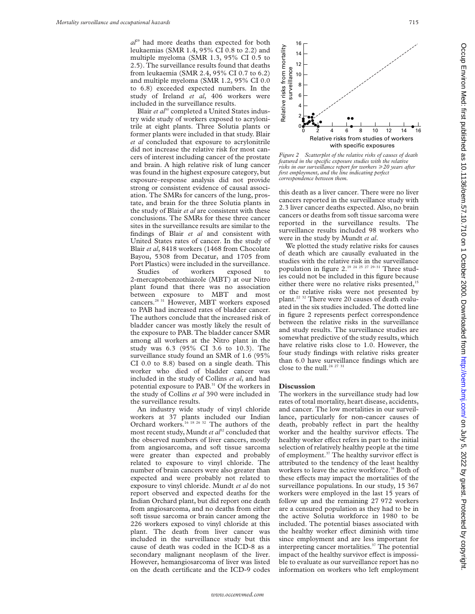*al*<sup>29</sup> had more deaths than expected for both leukaemias (SMR 1.4, 95% CI 0.8 to 2.2) and multiple myeloma (SMR 1.3, 95% CI 0.5 to 2.5). The surveillance results found that deaths from leukaemia (SMR 2.4, 95% CI 0.7 to 6.2) and multiple myeloma (SMR 1.2, 95% CI 0.0 to 6.8) exceeded expected numbers. In the study of Ireland *et al*, 406 workers were included in the surveillance results.

Blair et al<sup>30</sup> completed a United States industry wide study of workers exposed to acrylonitrile at eight plants. Three Solutia plants or former plants were included in that study. Blair *et al* concluded that exposure to acrylonitrile did not increase the relative risk for most cancers of interest including cancer of the prostate and brain. A high relative risk of lung cancer was found in the highest exposure category, but exposure–response analysis did not provide strong or consistent evidence of causal association. The SMRs for cancers of the lung, prostate, and brain for the three Solutia plants in the study of Blair *et al* are consistent with these conclusions. The SMRs for these three cancer sites in the surveillance results are similar to the findings of Blair *et al* and consistent with United States rates of cancer. In the study of Blair *et al*, 8418 workers (1468 from Chocolate Bayou, 5308 from Decatur, and 1705 from Port Plastics) were included in the surveillance.

Studies of workers exposed to 2-mercaptobenzothiazole (MBT) at our Nitro plant found that there was no association between exposure to MBT and most cancers.28 31 However, MBT workers exposed to PAB had increased rates of bladder cancer. The authors conclude that the increased risk of bladder cancer was mostly likely the result of the exposure to PAB. The bladder cancer SMR among all workers at the Nitro plant in the study was 6.3 (95% CI 3.6 to 10.3). The surveillance study found an SMR of 1.6 (95% CI 0.0 to 8.8) based on a single death. This worker who died of bladder cancer was included in the study of Collins *et al*, and had potential exposure to PAB.<sup>31</sup> Of the workers in the study of Collins *et al* 390 were included in the surveillance results.

An industry wide study of vinyl chloride workers at 37 plants included our Indian Orchard workers.<sup>16 18 26 32</sup> The authors of the most recent study, Mundt *et al*<sup>32</sup> concluded that the observed numbers of liver cancers, mostly from angiosarcoma, and soft tissue sarcoma were greater than expected and probably related to exposure to vinyl chloride. The number of brain cancers were also greater than expected and were probably not related to exposure to vinyl chloride. Mundt *et al* do not report observed and expected deaths for the Indian Orchard plant, but did report one death from angiosarcoma, and no deaths from either soft tissue sarcoma or brain cancer among the 226 workers exposed to vinyl chloride at this plant. The death from liver cancer was included in the surveillance study but this cause of death was coded in the ICD-8 as a secondary malignant neoplasm of the liver. However, hemangiosarcoma of liver was listed on the death certificate and the ICD-9 codes



*Figure 2 Scatterplot of the relative risks of causes of death featured in the specific exposure studies with the relative risks in our surveillance report for workers* >*20 years after first employment, and the line indicating perfect correspondence between them.*

this death as a liver cancer. There were no liver cancers reported in the surveillance study with 2.3 liver cancer deaths expected. Also, no brain cancers or deaths from soft tissue sarcoma were reported in the surveillance results. The surveillance results included 98 workers who were in the study by Mundt *et al*.

We plotted the study relative risks for causes of death which are causally evaluated in the studies with the relative risk in the surveillance population in figure 2.19 24 25 27 29–31 Three studies could not be included in this figure because either there were no relative risks presented,<sup>15</sup> or the relative risks were not presented by plant.<sup>22 32</sup> There were 20 causes of death evaluated in the six studies included. The dotted line in figure 2 represents perfect correspondence between the relative risks in the surveillance and study results. The surveillance studies are somewhat predictive of the study results, which have relative risks close to 1.0. However, the four study findings with relative risks greater than 6.0 have surveillance findings which are close to the null.<sup>24 27 31</sup>

#### **Discussion**

The workers in the surveillance study had low rates of total mortality, heart disease, accidents, and cancer. The low mortalities in our surveillance, particularly for non-cancer causes of death, probably reflect in part the healthy worker and the healthy survivor effects. The healthy worker effect refers in part to the initial selection of relatively healthy people at the time of employment.<sup>37</sup> The healthy survivor effect is attributed to the tendency of the least healthy workers to leave the active workforce.<sup>38</sup> Both of these effects may impact the mortalities of the surveillance populations. In our study, 15 367 workers were employed in the last 15 years of follow up and the remaining 27 972 workers are a censured population as they had to be in the active Solutia workforce in 1980 to be included. The potential biases associated with the healthy worker effect diminish with time since employment and are less important for interpreting cancer mortalities.<sup>37</sup> The potential impact of the healthy survivor effect is impossible to evaluate as our surveillance report has no information on workers who left employment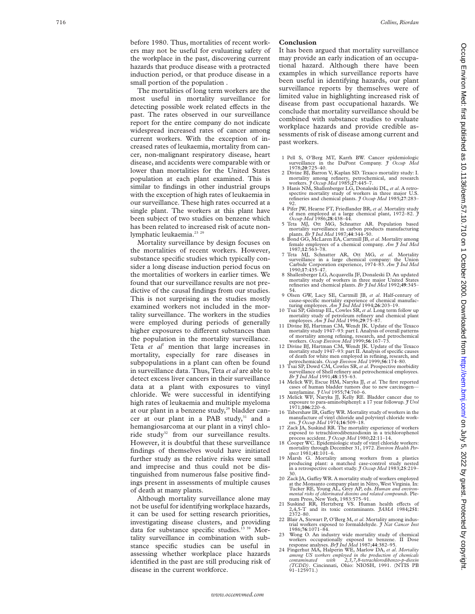before 1980. Thus, mortalities of recent workers may not be useful for evaluating safety of the workplace in the past, discovering current hazards that produce disease with a protracted induction period, or that produce disease in a small portion of the population .

The mortalities of long term workers are the most useful in mortality surveillance for detecting possible work related effects in the past. The rates observed in our surveillance report for the entire company do not indicate widespread increased rates of cancer among current workers. With the exception of increased rates of leukaemia, mortality from cancer, non-malignant respiratory disease, heart disease, and accidents were comparable with or lower than mortalities for the United States population at each plant examined. This is similar to findings in other industrial groups with the exception of high rates of leukaemia in our surveillance. These high rates occurred at a single plant. The workers at this plant have been subject of two studies on benzene which has been related to increased risk of acute nonlymphatic leukaemia.<sup>23</sup> <sup>29</sup>

Mortality surveillance by design focuses on the mortalities of recent workers. However, substance specific studies which typically consider a long disease induction period focus on the mortalities of workers in earlier times. We found that our surveillance results are not predictive of the causal findings from our studies. This is not surprising as the studies mostly examined workers not included in the mortality surveillance. The workers in the studies were employed during periods of generally higher exposures to different substances than the population in the mortality surveillance. Teta *et al*<sup>7</sup> mention that large increases in mortality, especially for rare diseases in subpopulations in a plant can often be found in surveillance data. Thus, Teta *et al* are able to detect excess liver cancers in their surveillance data at a plant with exposures to vinyl chloride. We were successful in identifying high rates of leukaemia and multiple myeloma at our plant in a benzene study, $^{29}$  bladder cancer at our plant in a PAB study,<sup>31</sup> and a hemangiosarcoma at our plant in a vinyl chloride study<sup>32</sup> from our surveillance results. However, it is doubtful that these surveillance findings of themselves would have initiated further study as the relative risks were small and imprecise and thus could not be distinguished from numerous false positive findings present in assessments of multiple causes of death at many plants.

Although mortality surveillance alone may not be useful for identifying workplace hazards, it can be used for setting research priorities, investigating disease clusters, and providing data for substance specific studies.13 39 Mortality surveillance in combination with substance specific studies can be useful in assessing whether workplace place hazards identified in the past are still producing risk of disease in the current workforce.

#### **Conclusion**

It has been argued that mortality surveillance may provide an early indication of an occupational hazard. Although there have been examples in which surveillance reports have been useful in identifying hazards, our plant surveillance reports by themselves were of limited value in highlighting increased risk of disease from past occupational hazards. We conclude that mortality surveillance should be combined with substance studies to evaluate workplace hazards and provide credible assessments of risk of disease among current and past workers.

- 1 Pell S, O'Berg MT, Karrh BW. Cancer epidemiologic surveillance in the DuPont Company. *J Occup Med* 1978;**20**:725–40.
- 2 Divine BJ, Barron V, Kaplan SD. Texaco mortality study: I. mortality among refinery, petrochemical, and research workers. *J Occup Med* 1985;**27**:445–7.
- 3 Hanis NM, Shallenberger LG, Donaleski DL, *et al*. A retrospective mortality study of workers in three major U.S. refineries and chemical plants. *J Occup Med* 1985;**27**:283– 92.
- 4 Pifer JW, Hearne FT, Friedlander BR, *et al*. Mortality study of men employed at a large chemical plant, 1972–82. *J Occup Med* 1986;**28**:438–44.
- 5 Teta MJ, Ott MG, Schnatter AR. Population based mortality surveillance in carbon products manufacturing
- plants. *Br J Ind Med* 1987;**44**:344–50. 6 Bond GG, McLaren EA, Cartmill JB,*et al*. Mortality among female employees of a chemical company. *Am J Ind Med* 1987;**12**:563–78.
- 7 Teta MJ, Schnatter AR, Ott MG, *et al*. Mortality surveillance in a large chemical company: the Union Carbide Corporation experience, 1974–83. *Am J Ind Med*
- 1990;**17**:435–47. 8 Shallenberger LG, Acquavella JF, Donaleski D. An updated mortality study of workers in three major United States refineries and chemical plants. *Br J Ind Med* 1992;**49**:345–
- 54. 9 Olsen GW, Lacy SE, Cartmill JB, *et al*. Half-century of cause-specific mortality experience of chemical manufac-turing employees. *Am J Ind Med* 1994;**26**:203–19.
- 10 Tsai SP, Gilstrap EL, Cowles SR, *et al*. Long term follow up mortality study of petroleum refinery and chemical plant<br>employees. *Am J Ind Med* 1996;**29**:75–87.<br>11 Divine BJ, Hartman CM, Wendt JK. Update of the Texaco
- mortality study 1947–93: part I. Analysis of overall patterns of mortality among refining, research, and petrochemical<br>workers. *Occup Environ Med* 1999;**56**:167–73.<br>Divine BJ, Hartman CM, Wendt JK. Update of the Texaco
- mortality study 1947–93: part II. Analysis of specific causes of death for white men employed in refining, research, and
- petrochemicals. *Occup Environ Med* 1999;**56**:174–80. 13 Tsai SP, Dowd CM, Cowles SR,*et al*. Prospective morbidity surveillance of Shell refinery and petrochemical employees. *Br J Ind Med* 1991;**48**:155–63.
- 14 Melick WF, Escue HM, Naryka JJ, *et al*. The first reported cases of human bladder tumors due to new carcinogen— xenylamine. *J Urol* 1955;**74**:760–6.
- 15 Melick WF, Naryka JJ, Kelly RE. Bladder cancer due to exposure to para-aminobiphenyl: a 17 year followup. *J Urol* 1971;**106**:220–6. 16 Tabershaw IR, Ga Vey WR. Mortality study of workers in the
- manufacture of vinyl chloride and polyvinyl chloride work-
- ers. *J Occup Med* 1974;**16**:509–18. 17 Zack JA, Suskind RR. The mortality experience of workers exposed to tetrachlorodibenzodioxin in a trichlorophenol process accident. *J Occup Med* 1980;**22**:11–14.
- 18 Cooper WC. Epidemiologic study of vinyl chloride workers: mortality through December 31, 1972. *Environ Health Per-spect* 1981;**41**:101–6.
- 19 Marsh G. Mortality among workers from a plastics producing plant: a matched case-control study nested in a retrospective cohort study. *J Occup Med* 1983;**25**:219– 30.
- 20 Zack JA, Gaffey WR. A mortality study of workers employed at the Monsanto company plant in Nitro, West Virginia. In: Tucker RE, Young AL, Grey AP, eds. *Human and environ-mental risks of chlorinated dioxins and related compounds*. Plenum Press, New York, 1983:575–91.
- 21 Suskind RR, Hertzberg VS. Human health effects of 2,4,5-T and its toxic contaminants. *JAMA* 1984;251:
- 2372–80. 22 Blair A, Stewart P, O'Berg M, *et al*. Mortality among industrial workers exposed to formaldehyde. *J Nat Cancer Inst* 1986;**76**:1071–84.
- 23 Wong O. An industry wide mortality study of chemical workers occupationally exposed to benzene. II Dose response analyses. *BrJ Ind Med* 1987;**44**:382–95.
- 24 Fingerhut MA, Halperin WE, Marlow DA, *et al* . *Mortality among US workers employed in the production of chemicals contaminated with 2,3,7,8-tetrachlorodibenzo-p-dioxin (TCDD)*. Cincinnati, Ohio: NIOSH, 1991. (NTIS PB  $91 - 125971.$